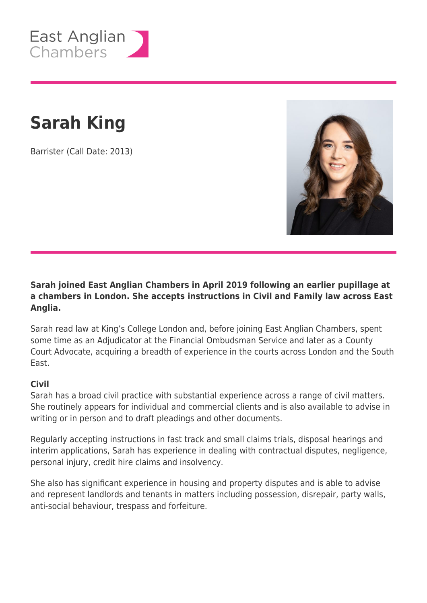

# **Sarah King**

Barrister (Call Date: 2013)



### **Sarah joined East Anglian Chambers in April 2019 following an earlier pupillage at a chambers in London. She accepts instructions in Civil and Family law across East Anglia.**

Sarah read law at King's College London and, before joining East Anglian Chambers, spent some time as an Adjudicator at the Financial Ombudsman Service and later as a County Court Advocate, acquiring a breadth of experience in the courts across London and the South East.

#### **Civil**

Sarah has a broad civil practice with substantial experience across a range of civil matters. She routinely appears for individual and commercial clients and is also available to advise in writing or in person and to draft pleadings and other documents.

Regularly accepting instructions in fast track and small claims trials, disposal hearings and interim applications, Sarah has experience in dealing with contractual disputes, negligence, personal injury, credit hire claims and insolvency.

She also has significant experience in housing and property disputes and is able to advise and represent landlords and tenants in matters including possession, disrepair, party walls, anti-social behaviour, trespass and forfeiture.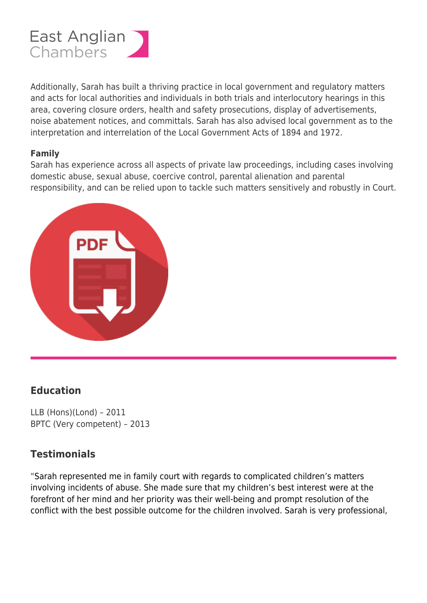

Additionally, Sarah has built a thriving practice in local government and regulatory matters and acts for local authorities and individuals in both trials and interlocutory hearings in this area, covering closure orders, health and safety prosecutions, display of advertisements, noise abatement notices, and committals. Sarah has also advised local government as to the interpretation and interrelation of the Local Government Acts of 1894 and 1972.

#### **Family**

Sarah has experience across all aspects of private law proceedings, including cases involving domestic abuse, sexual abuse, coercive control, parental alienation and parental responsibility, and can be relied upon to tackle such matters sensitively and robustly in Court.



## **Education**

LLB (Hons)(Lond) – 2011 BPTC (Very competent) – 2013

## **Testimonials**

"Sarah represented me in family court with regards to complicated children's matters involving incidents of abuse. She made sure that my children's best interest were at the forefront of her mind and her priority was their well-being and prompt resolution of the conflict with the best possible outcome for the children involved. Sarah is very professional,